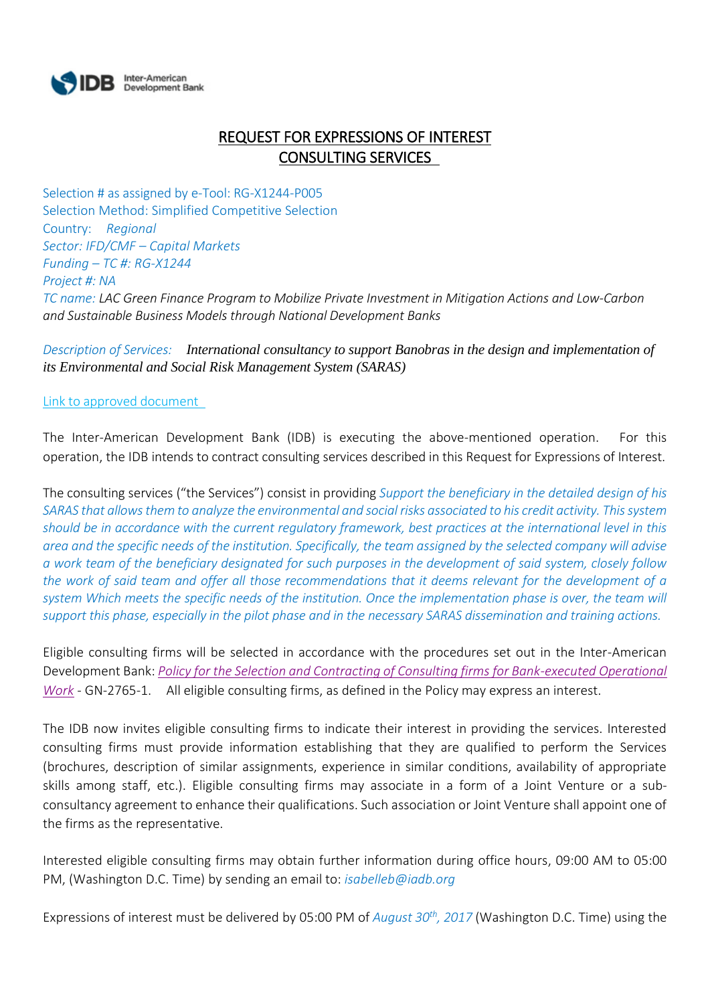

## REQUEST FOR EXPRESSIONS OF INTEREST CONSULTING SERVICES

Selection # as assigned by e-Tool: RG-X1244-P005 Selection Method: Simplified Competitive Selection Country: *Regional Sector: IFD/CMF – Capital Markets Funding – TC #: RG-X1244 Project #: NA TC name: LAC Green Finance Program to Mobilize Private Investment in Mitigation Actions and Low-Carbon and Sustainable Business Models through National Development Banks*

*Description of Services: International consultancy to support Banobras in the design and implementation of its Environmental and Social Risk Management System (SARAS)*

[Link to approved](http://www.iadb.org/Document.cfm?id=39934476) document

The Inter-American Development Bank (IDB) is executing the above-mentioned operation. For this operation, the IDB intends to contract consulting services described in this Request for Expressions of Interest.

The consulting services ("the Services") consist in providing *Support the beneficiary in the detailed design of his SARAS that allows them to analyze the environmental and social risks associated to his credit activity. This system should be in accordance with the current regulatory framework, best practices at the international level in this area and the specific needs of the institution. Specifically, the team assigned by the selected company will advise a work team of the beneficiary designated for such purposes in the development of said system, closely follow the work of said team and offer all those recommendations that it deems relevant for the development of a system Which meets the specific needs of the institution. Once the implementation phase is over, the team will support this phase, especially in the pilot phase and in the necessary SARAS dissemination and training actions.*

Eligible consulting firms will be selected in accordance with the procedures set out in the Inter-American Development Bank: *[Policy for the Selection and Contracting of Consulting firms for Bank-executed Operational](http://idbdocs.iadb.org/wsdocs/getdocument.aspx?DOCNUM=38988574)  [Work](http://idbdocs.iadb.org/wsdocs/getdocument.aspx?DOCNUM=38988574)* - GN-2765-1. All eligible consulting firms, as defined in the Policy may express an interest.

The IDB now invites eligible consulting firms to indicate their interest in providing the services. Interested consulting firms must provide information establishing that they are qualified to perform the Services (brochures, description of similar assignments, experience in similar conditions, availability of appropriate skills among staff, etc.). Eligible consulting firms may associate in a form of a Joint Venture or a subconsultancy agreement to enhance their qualifications. Such association or Joint Venture shall appoint one of the firms as the representative.

Interested eligible consulting firms may obtain further information during office hours, 09:00 AM to 05:00 PM, (Washington D.C. Time) by sending an email to: *isabelleb@iadb.org*

Expressions of interest must be delivered by 05:00 PM of *August 30th, 2017* (Washington D.C. Time) using the